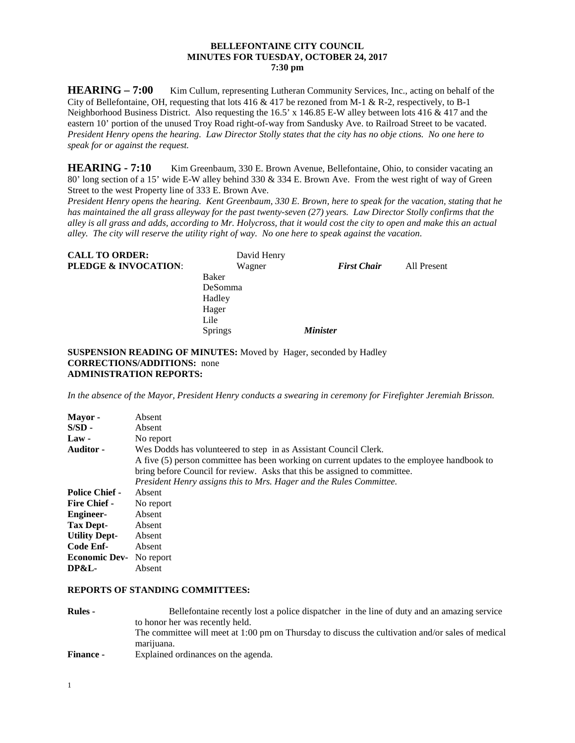### **BELLEFONTAINE CITY COUNCIL MINUTES FOR TUESDAY, OCTOBER 24, 2017 7:30 pm**

**HEARING** – **7:00** Kim Cullum, representing Lutheran Community Services, Inc., acting on behalf of the City of Bellefontaine, OH, requesting that lots  $416 \& 417$  be rezoned from M-1 & R-2, respectively, to B-1 Neighborhood Business District. Also requesting the 16.5' x 146.85 E-W alley between lots 416 & 417 and the eastern 10' portion of the unused Troy Road right-of-way from Sandusky Ave. to Railroad Street to be vacated. *President Henry opens the hearing. Law Director Stolly states that the city has no obje ctions. No one here to speak for or against the request.*

**HEARING - 7:10** Kim Greenbaum, 330 E. Brown Avenue, Bellefontaine, Ohio, to consider vacating an 80' long section of a 15' wide E-W alley behind 330 & 334 E. Brown Ave. From the west right of way of Green Street to the west Property line of 333 E. Brown Ave.

*President Henry opens the hearing. Kent Greenbaum, 330 E. Brown, here to speak for the vacation, stating that he has maintained the all grass alleyway for the past twenty-seven (27) years. Law Director Stolly confirms that the alley is all grass and adds, according to Mr. Holycross, that it would cost the city to open and make this an actual alley. The city will reserve the utility right of way. No one here to speak against the vacation.* 

| <b>CALL TO ORDER:</b>           | David Henry |                    |             |
|---------------------------------|-------------|--------------------|-------------|
| <b>PLEDGE &amp; INVOCATION:</b> | Wagner      | <b>First Chair</b> | All Present |
|                                 | Baker       |                    |             |
|                                 | DeSomma     |                    |             |
|                                 | Hadley      |                    |             |
|                                 | Hager       |                    |             |
|                                 | Lile        |                    |             |
|                                 | Springs     | <b>Minister</b>    |             |

**SUSPENSION READING OF MINUTES:** Moved by Hager, seconded by Hadley **CORRECTIONS/ADDITIONS:** none **ADMINISTRATION REPORTS:**

*In the absence of the Mayor, President Henry conducts a swearing in ceremony for Firefighter Jeremiah Brisson.* 

| Absent                                                                                      |  |
|---------------------------------------------------------------------------------------------|--|
| Absent                                                                                      |  |
| No report                                                                                   |  |
| Wes Dodds has volunteered to step in as Assistant Council Clerk.                            |  |
| A five (5) person committee has been working on current updates to the employee handbook to |  |
| bring before Council for review. Asks that this be assigned to committee.                   |  |
| President Henry assigns this to Mrs. Hager and the Rules Committee.                         |  |
| Absent                                                                                      |  |
| No report                                                                                   |  |
| Absent                                                                                      |  |
| Absent                                                                                      |  |
| Absent                                                                                      |  |
| Absent                                                                                      |  |
| No report                                                                                   |  |
| Absent                                                                                      |  |
|                                                                                             |  |

#### **REPORTS OF STANDING COMMITTEES:**

| <b>Rules -</b>   | Bellefontaine recently lost a police dispatcher in the line of duty and an amazing service        |
|------------------|---------------------------------------------------------------------------------------------------|
|                  | to honor her was recently held.                                                                   |
|                  | The committee will meet at 1:00 pm on Thursday to discuss the cultivation and/or sales of medical |
|                  | marijuana.                                                                                        |
| <b>Finance -</b> | Explained ordinances on the agenda.                                                               |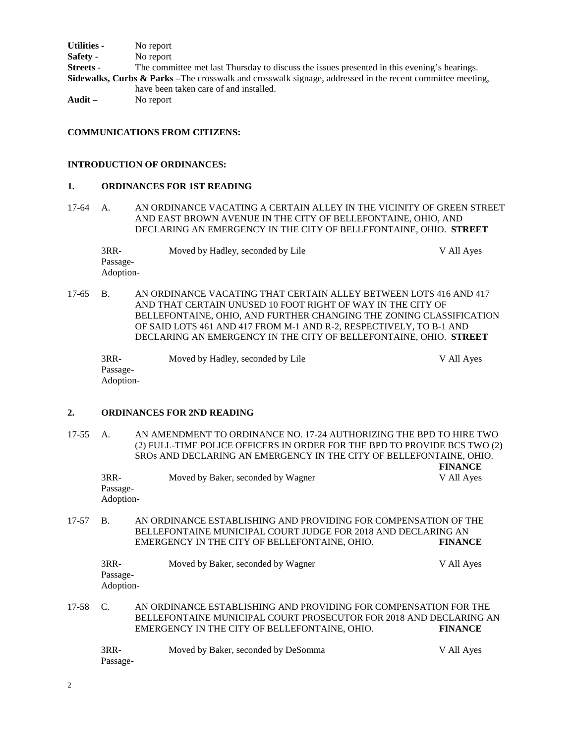**Utilities -** No report **Safety -** No report<br>**Streets -** The comn The committee met last Thursday to discuss the issues presented in this evening's hearings. **Sidewalks, Curbs & Parks –**The crosswalk and crosswalk signage, addressed in the recent committee meeting, have been taken care of and installed. **Audit –** No report

## **COMMUNICATIONS FROM CITIZENS:**

#### **INTRODUCTION OF ORDINANCES:**

### **1. ORDINANCES FOR 1ST READING**

17-64 A. AN ORDINANCE VACATING A CERTAIN ALLEY IN THE VICINITY OF GREEN STREET AND EAST BROWN AVENUE IN THE CITY OF BELLEFONTAINE, OHIO, AND DECLARING AN EMERGENCY IN THE CITY OF BELLEFONTAINE, OHIO. **STREET**

| $3RR-$    | Moved by Hadley, seconded by Lile | V All Ayes |
|-----------|-----------------------------------|------------|
| Passage-  |                                   |            |
| Adoption- |                                   |            |

17-65 B. AN ORDINANCE VACATING THAT CERTAIN ALLEY BETWEEN LOTS 416 AND 417 AND THAT CERTAIN UNUSED 10 FOOT RIGHT OF WAY IN THE CITY OF BELLEFONTAINE, OHIO, AND FURTHER CHANGING THE ZONING CLASSIFICATION OF SAID LOTS 461 AND 417 FROM M-1 AND R-2, RESPECTIVELY, TO B-1 AND DECLARING AN EMERGENCY IN THE CITY OF BELLEFONTAINE, OHIO. **STREET**

3RR- Moved by Hadley, seconded by Lile V All Ayes Passage-Adoption-

## **2. ORDINANCES FOR 2ND READING**

17-55 A. AN AMENDMENT TO ORDINANCE NO. 17-24 AUTHORIZING THE BPD TO HIRE TWO (2) FULL-TIME POLICE OFFICERS IN ORDER FOR THE BPD TO PROVIDE BCS TWO (2) SROs AND DECLARING AN EMERGENCY IN THE CITY OF BELLEFONTAINE, OHIO.

| 3RR-      | Moved by Baker, seconded by Wagner | V All Aves |
|-----------|------------------------------------|------------|
| Passage-  |                                    |            |
| Adoption- |                                    |            |

**FINANCE**

17-57 B. AN ORDINANCE ESTABLISHING AND PROVIDING FOR COMPENSATION OF THE BELLEFONTAINE MUNICIPAL COURT JUDGE FOR 2018 AND DECLARING AN EMERGENCY IN THE CITY OF BELLEFONTAINE, OHIO. **FINANCE**

| 3RR-      | Moved by Baker, seconded by Wagner | V All Aves |
|-----------|------------------------------------|------------|
| Passage-  |                                    |            |
| Adoption- |                                    |            |

17-58 C. AN ORDINANCE ESTABLISHING AND PROVIDING FOR COMPENSATION FOR THE BELLEFONTAINE MUNICIPAL COURT PROSECUTOR FOR 2018 AND DECLARING AN EMERGENCY IN THE CITY OF BELLEFONTAINE, OHIO. **FINANCE**

| 3RR-     | Moved by Baker, seconded by DeSomma | V All Ayes |
|----------|-------------------------------------|------------|
| Passage- |                                     |            |